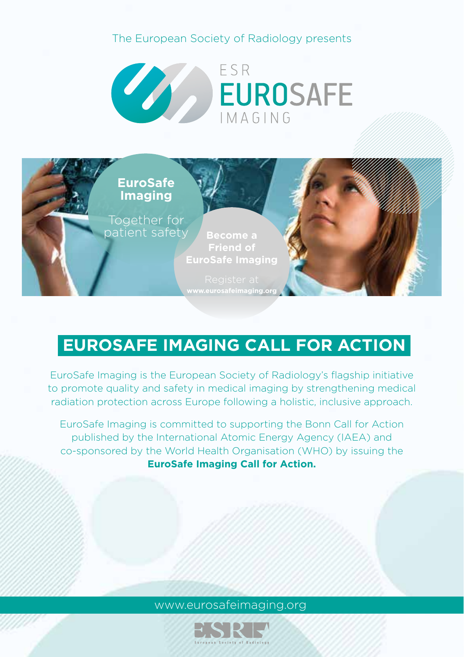# The European Society of Radiology presents





# **EUROSAFE IMAGING CALL FOR ACTION**

EuroSafe Imaging is the European Society of Radiology's flagship initiative to promote quality and safety in medical imaging by strengthening medical radiation protection across Europe following a holistic, inclusive approach.

EuroSafe Imaging is committed to supporting the Bonn Call for Action published by the International Atomic Energy Agency (IAEA) and co-sponsored by the World Health Organisation (WHO) by issuing the **EuroSafe Imaging Call for Action.**

#### www.eurosafeimaging.org

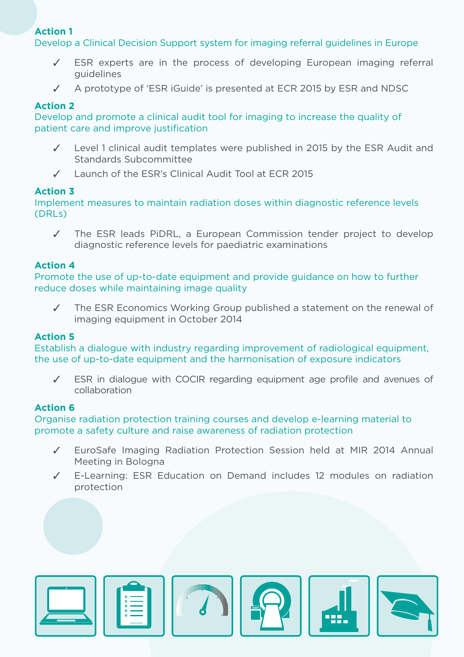#### **Action 1**

Develop a Clinical Decision Support system for imaging referral guidelines in Europe

- ESR experts are in the process of developing European imaging referral guidelines
- ✓ A prototype of 'ESR iGuide' is presented at ECR 2015 by ESR and NDSC

#### **Action 2**

Develop and promote a clinical audit tool for imaging to increase the quality of patient care and improve justification

- ✓ Level 1 clinical audit templates were published in 2015 by the ESR Audit and Standards Subcommittee
- ✓ Launch of the ESR's Clinical Audit Tool at ECR 2015

#### **Action 3**

Implement measures to maintain radiation doses within diagnostic reference levels (DRLs)

✓ The ESR leads PiDRL, a European Commission tender project to develop diagnostic reference levels for paediatric examinations

#### **Action 4**

Promote the use of up-to-date equipment and provide guidance on how to further reduce doses while maintaining image quality

✓ The ESR Economics Working Group published a statement on the renewal of imaging equipment in October 2014

#### **Action 5**

Establish a dialogue with industry regarding improvement of radiological equipment, the use of up-to-date equipment and the harmonisation of exposure indicators

ESR in dialogue with COCIR regarding equipment age profile and avenues of collaboration

#### **Action 6**

Organise radiation protection training courses and develop e-learning material to promote a safety culture and raise awareness of radiation protection

- ✓ EuroSafe Imaging Radiation Protection Session held at MIR 2014 Annual Meeting in Bologna
- ✓ E-Learning: ESR Education on Demand includes 12 modules on radiation protection



| G<br>$\ddot{\bullet}$<br>۰<br>Ġ |
|---------------------------------|
|                                 |







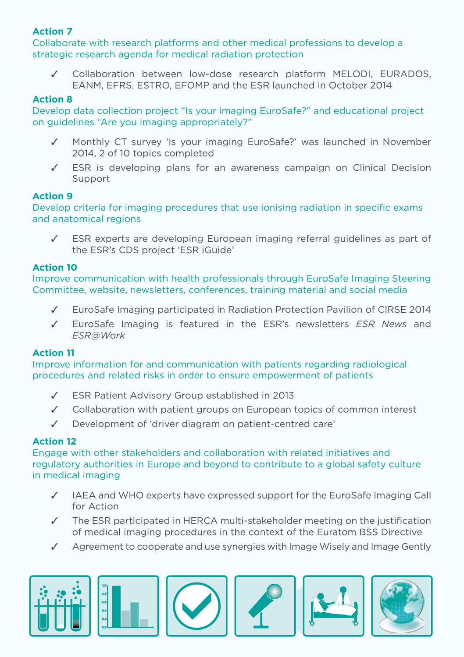#### **Action 7**

Collaborate with research platforms and other medical professions to develop a strategic research agenda for medical radiation protection

Collaboration between low-dose research platform MELODI, EURADOS, EANM, EFRS, ESTRO, EFOMP and the ESR launched in October 2014

#### **Action 8**

Develop data collection project "Is your imaging EuroSafe?" and educational project on guidelines "Are you imaging appropriately?"

- Monthly CT survey 'Is your imaging EuroSafe?' was launched in November 2014, 2 of 10 topics completed
- ✓ ESR is developing plans for an awareness campaign on Clinical Decision Support

#### **Action 9**

Develop criteria for imaging procedures that use ionising radiation in specific exams and anatomical regions

✓ ESR experts are developing European imaging referral guidelines as part of the ESR's CDS project 'ESR iGuide'

#### **Action 10**

Improve communication with health professionals through EuroSafe Imaging Steering Committee, website, newsletters, conferences, training material and social media

- ✓ EuroSafe Imaging participated in Radiation Protection Pavilion of CIRSE 2014
- ✓ EuroSafe Imaging is featured in the ESR's newsletters *ESR News* and *ESR@Work*

#### **Action 11**

Improve information for and communication with patients regarding radiological procedures and related risks in order to ensure empowerment of patients

- ✓ ESR Patient Advisory Group established in 2013
- ✓ Collaboration with patient groups on European topics of common interest
- ✓ Development of 'driver diagram on patient-centred care'

#### **Action 12**

Engage with other stakeholders and collaboration with related initiatives and regulatory authorities in Europe and beyond to contribute to a global safety culture in medical imaging

- ✓ IAEA and WHO experts have expressed support for the EuroSafe Imaging Call for Action
- ✓ The ESR participated in HERCA multi-stakeholder meeting on the justification of medical imaging procedures in the context of the Euratom BSS Directive
- ✓ Agreement to cooperate and use synergies with Image Wisely and Image Gently